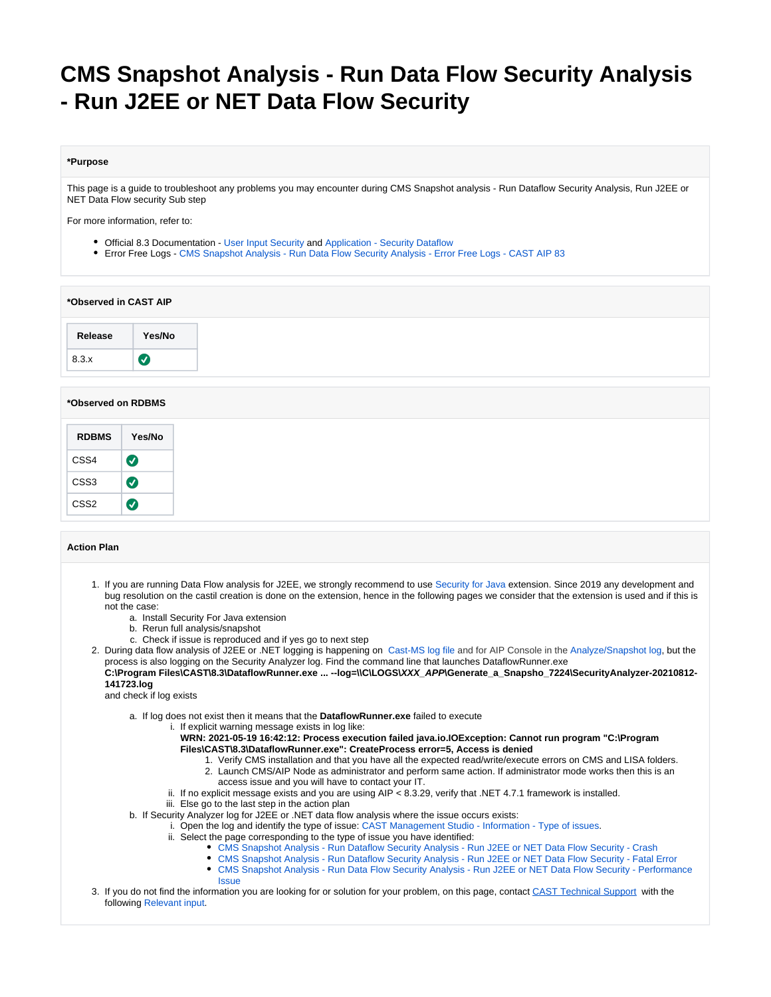# **CMS Snapshot Analysis - Run Data Flow Security Analysis - Run J2EE or NET Data Flow Security**

#### **\*Purpose**

This page is a guide to troubleshoot any problems you may encounter during CMS Snapshot analysis - Run Dataflow Security Analysis, Run J2EE or NET Data Flow security Sub step

For more information, refer to:

- Official 8.3 Documentation [User Input Security](https://doc.castsoftware.com/display/DOC83/Enable+User+Input+Security+checks) and [Application Security Dataflow](https://doc.castsoftware.com/display/AIPCONSOLE/Application+-+Security+Dataflow)
- Error Free Logs - [CMS Snapshot Analysis Run Data Flow Security Analysis Error Free Logs CAST AIP 83](https://doc.castsoftware.com/display/TG/CMS+Snapshot+Analysis+-+Run+Data+Flow+Security+Analysis+-+Error+Free+Logs+-+CAST+AIP+83)

#### **\*Observed in CAST AIP**

## **\*Observed on RDBMS**

| <b>RDBMS</b> | Yes/No               |
|--------------|----------------------|
| CSS4         | $\bm{J}$             |
| CSS3         | $\blacktriangledown$ |
| CSS2         |                      |

## **Action Plan**

- 1. If you are running Data Flow analysis for J2EE, we strongly recommend to use [Security for Java](https://doc.castsoftware.com/display/TECHNOS/Security+for+Java) extension. Since 2019 any development and bug resolution on the castil creation is done on the extension, hence in the following pages we consider that the extension is used and if this is not the case:
	- a. Install Security For Java extension
		- b. Rerun full analysis/snapshot
	- c. Check if issue is reproduced and if yes go to next step
- 2. During data flow analysis of J2EE or .NET logging is happening on [Cast-MS log file](https://doc.castsoftware.com/display/TG/CAST+Management+Studio+-+Information+-+How+to+find+logs#CASTManagementStudioInformationHowtofindlogs-CASTManagementStudio(CMS)Setup) and for AIP Console in the [Analyze/Snapshot log,](https://doc.castsoftware.com/display/AIPCONSOLE/AIP+Console+-+Logging+mechanisms#AIPConsoleLoggingmechanisms-LogsproducedbyAIPCore) but the process is also logging on the Security Analyzer log. Find the command line that launches DataflowRunner.exe **C:\Program Files\CAST\8.3\DataflowRunner.exe ... --log=\\C\LOGS\XXX\_APP\Generate\_a\_Snapsho\_7224\SecurityAnalyzer-20210812- 141723.log**

and check if log exists

- a. If log does not exist then it means that the **DataflowRunner.exe** failed to execute
	- i. If explicit warning message exists in log like:

**WRN: 2021-05-19 16:42:12: Process execution failed java.io.IOException: Cannot run program "C:\Program Files\CAST\8.3\DataflowRunner.exe": CreateProcess error=5, Access is denied**

- 1. Verify CMS installation and that you have all the expected read/write/execute errors on CMS and LISA folders. 2. Launch CMS/AIP Node as administrator and perform same action. If administrator mode works then this is an
	- access issue and you will have to contact your IT.
- ii. If no explicit message exists and you are using AIP < 8.3.29, verify that .NET 4.7.1 framework is installed.
- iii. Else go to the last step in the action plan
- b. If Security Analyzer log for J2EE or .NET data flow analysis where the issue occurs exists:
	- i. Open the log and identify the type of issue: [CAST Management Studio Information Type of issues.](https://doc.castsoftware.com/display/TG/CAST+Management+Studio+-+Information+-+Type+of+issues)
		- ii. Select the page corresponding to the type of issue you have identified:
			- [CMS Snapshot Analysis Run Dataflow Security Analysis Run J2EE or NET Data Flow Security Crash](https://doc.castsoftware.com/display/TG/CMS+Snapshot+Analysis+-+Run+Dataflow+Security+Analysis+-+Run+J2EE+or+NET+Data+Flow+Security+-+Crash)
			- [CMS Snapshot Analysis Run Dataflow Security Analysis Run J2EE or NET Data Flow Security Fatal Error](https://doc.castsoftware.com/display/TG/CMS+Snapshot+Analysis+-+Run+Dataflow+Security+Analysis+-+Run+J2EE+or+NET+Data+Flow+Security+-+Fatal+Error)
			- [CMS Snapshot Analysis Run Data Flow Security Analysis Run J2EE or NET Data Flow Security Performance](https://doc.castsoftware.com/display/TG/CMS+Snapshot+Analysis+-+Run+Data+Flow+Security+Analysis+-+Run+J2EE+or++NET+Data+Flow+Security+-+Performance+Issue)  **[Issue](https://doc.castsoftware.com/display/TG/CMS+Snapshot+Analysis+-+Run+Data+Flow+Security+Analysis+-+Run+J2EE+or++NET+Data+Flow+Security+-+Performance+Issue)**
- 3. If you do not find the information you are looking for or solution for your problem, on this page, contact [CAST Technical Support](https://help.castsoftware.com/hc/en-us/requests/new) with the following [Relevant input](#page-1-0).